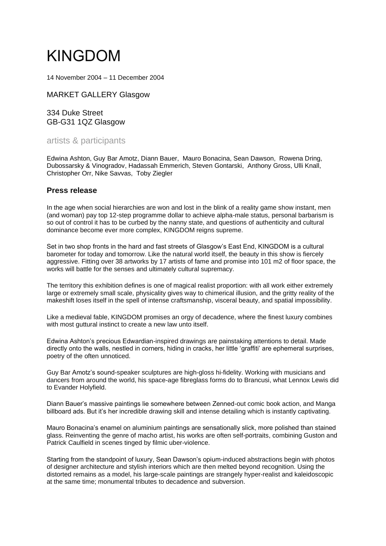## KINGDOM

14 November 2004 – 11 December 2004

[MARKET GALLERY Glasgow](https://kunstaspekte.art/venue/market-gallery-glasgow)

334 Duke Street GB-G31 1QZ [Glasgow](https://kunstaspekte.art/city/glasgow)

artists & participants

Edwina [Ashton,](https://kunstaspekte.art/person/edwina-ashton) Guy Bar [Amotz,](https://kunstaspekte.art/person/guy-bar-amotz) Diann [Bauer,](https://kunstaspekte.art/person/diann-bauer) Mauro [Bonacina,](https://kunstaspekte.art/person/mauro-bonacina) Sean [Dawson,](https://kunstaspekte.art/person/sean-dawson) [Rowena](https://kunstaspekte.art/person/rowena-dring) Dring, Dubossarsky [& Vinogradov,](https://kunstaspekte.art/person/dubossarsky-and-vinogradov) Hadassah [Emmerich,](https://kunstaspekte.art/person/hadassah-emmerich) Steven [Gontarski,](https://kunstaspekte.art/person/steven-gontarski) [Anthony](https://kunstaspekte.art/person/anthony-gross) Gross, Ulli [Knall,](https://kunstaspekte.art/person/ulli-knall) [Christopher](https://kunstaspekte.art/person/christopher-orr) Orr, Nike [Savvas,](https://kunstaspekte.art/person/nike-savvas) Toby [Ziegler](https://kunstaspekte.art/person/toby-ziegler)

## **Press release**

In the age when social hierarchies are won and lost in the blink of a reality game show instant, men (and woman) pay top 12-step programme dollar to achieve alpha-male status, personal barbarism is so out of control it has to be curbed by the nanny state, and questions of authenticity and cultural dominance become ever more complex, KINGDOM reigns supreme.

Set in two shop fronts in the hard and fast streets of Glasgow's East End, KINGDOM is a cultural barometer for today and tomorrow. Like the natural world itself, the beauty in this show is fiercely aggressive. Fitting over 38 artworks by 17 artists of fame and promise into 101 m2 of floor space, the works will battle for the senses and ultimately cultural supremacy.

The territory this exhibition defines is one of magical realist proportion: with all work either extremely large or extremely small scale, physicality gives way to chimerical illusion, and the gritty reality of the makeshift loses itself in the spell of intense craftsmanship, visceral beauty, and spatial impossibility.

Like a medieval fable, KINGDOM promises an orgy of decadence, where the finest luxury combines with most guttural instinct to create a new law unto itself.

Edwina Ashton's precious Edwardian-inspired drawings are painstaking attentions to detail. Made directly onto the walls, nestled in corners, hiding in cracks, her little 'graffiti' are ephemeral surprises, poetry of the often unnoticed.

Guy Bar Amotz's sound-speaker sculptures are high-gloss hi-fidelity. Working with musicians and dancers from around the world, his space-age fibreglass forms do to Brancusi, what Lennox Lewis did to Evander Holyfield.

Diann Bauer's massive paintings lie somewhere between Zenned-out comic book action, and Manga billboard ads. But it's her incredible drawing skill and intense detailing which is instantly captivating.

Mauro Bonacina's enamel on aluminium paintings are sensationally slick, more polished than stained glass. Reinventing the genre of macho artist, his works are often self-portraits, combining Guston and Patrick Caulfield in scenes tinged by filmic uber-violence.

Starting from the standpoint of luxury, Sean Dawson's opium-induced abstractions begin with photos of designer architecture and stylish interiors which are then melted beyond recognition. Using the distorted remains as a model, his large-scale paintings are strangely hyper-realist and kaleidoscopic at the same time; monumental tributes to decadence and subversion.